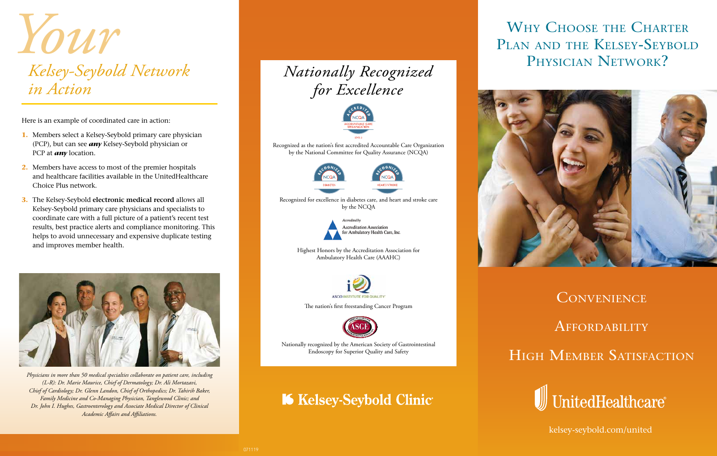Here is an example of coordinated care in action:

- **1.** Members select a Kelsey-Seybold primary care physician (PCP), but can see *any* Kelsey-Seybold physician or PCP at *any* location.
- **2.** Members have access to most of the premier hospitals and healthcare facilities available in the UnitedHealthcare Choice Plus network.
- **3.** The Kelsey-Seybold **electronic medical record** allows all Kelsey-Seybold primary care physicians and specialists to coordinate care with a full picture of a patient's recent test results, best practice alerts and compliance monitoring. This helps to avoid unnecessary and expensive duplicate testing and improves member health.



*Physicians in more than 50 medical specialties collaborate on patient care, including (L-R): Dr. Marie Maurice, Chief of Dermatology; Dr. Ali Mortazavi, Chief of Cardiology; Dr. Glenn Landon, Chief of Orthopedics; Dr. Tahirih Baker, Family Medicine and Co-Managing Physician, Tanglewood Clinic; and Dr. John I. Hughes, Gastroenterology and Associate Medical Director of Clinical Academic Affairs and Affiliations.*

kelsey-seybold.com/united

# *Nationally Recognized for Excellence*



Recognized as the nation's first accredited Accountable Care Organization by the National Committee for Quality Assurance (NCQA)





## *Your Kelsey-Seybold Network in Action Your Kelsey-Seybold Network in Action*

Recognized for excellence in diabetes care, and heart and stroke care by the NCQA



Highest Honors by the Accreditation Association for Ambulatory Health Care (AAAHC)



The nation's first freestanding Cancer Program



Nationally recognized by the American Society of Gastrointestinal Endoscopy for Superior Quality and Safety

## **K** Kelsey-Seybold Clinic

## WHY CHOOSE THE CHARTER PLAN AND THE KELSEY-SEYBOLD PHYSICIAN NETWORK?





### **CONVENIENCE**

#### **AFFORDABILITY**

HIGH MEMBER SATISFACTION

UnitedHealthcare®